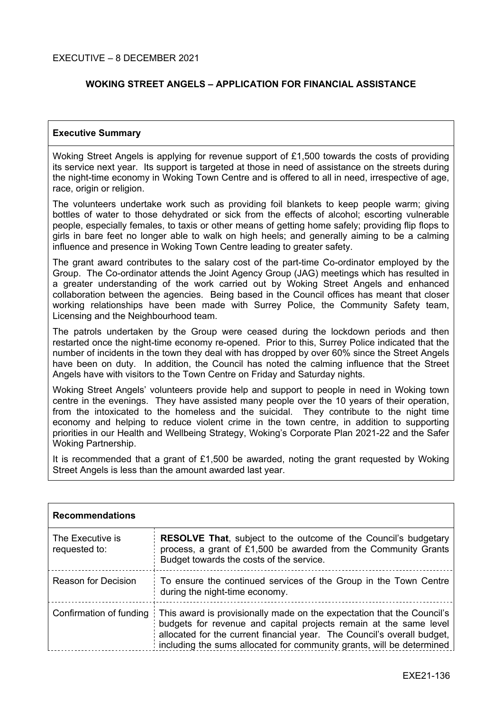## **WOKING STREET ANGELS – APPLICATION FOR FINANCIAL ASSISTANCE**

## **Executive Summary**

Woking Street Angels is applying for revenue support of £1,500 towards the costs of providing its service next year. Its support is targeted at those in need of assistance on the streets during the night-time economy in Woking Town Centre and is offered to all in need, irrespective of age, race, origin or religion.

The volunteers undertake work such as providing foil blankets to keep people warm; giving bottles of water to those dehydrated or sick from the effects of alcohol; escorting vulnerable people, especially females, to taxis or other means of getting home safely; providing flip flops to girls in bare feet no longer able to walk on high heels; and generally aiming to be a calming influence and presence in Woking Town Centre leading to greater safety.

The grant award contributes to the salary cost of the part-time Co-ordinator employed by the Group. The Co-ordinator attends the Joint Agency Group (JAG) meetings which has resulted in a greater understanding of the work carried out by Woking Street Angels and enhanced collaboration between the agencies. Being based in the Council offices has meant that closer working relationships have been made with Surrey Police, the Community Safety team, Licensing and the Neighbourhood team.

The patrols undertaken by the Group were ceased during the lockdown periods and then restarted once the night-time economy re-opened. Prior to this, Surrey Police indicated that the number of incidents in the town they deal with has dropped by over 60% since the Street Angels have been on duty. In addition, the Council has noted the calming influence that the Street Angels have with visitors to the Town Centre on Friday and Saturday nights.

Woking Street Angels' volunteers provide help and support to people in need in Woking town centre in the evenings. They have assisted many people over the 10 years of their operation, from the intoxicated to the homeless and the suicidal. They contribute to the night time economy and helping to reduce violent crime in the town centre, in addition to supporting priorities in our Health and Wellbeing Strategy, Woking's Corporate Plan 2021-22 and the Safer Woking Partnership.

It is recommended that a grant of £1,500 be awarded, noting the grant requested by Woking Street Angels is less than the amount awarded last year.

| <b>Recommendations</b>            |                                                                                                                                                                                                                                                                                                 |
|-----------------------------------|-------------------------------------------------------------------------------------------------------------------------------------------------------------------------------------------------------------------------------------------------------------------------------------------------|
| The Executive is<br>requested to: | <b>RESOLVE That, subject to the outcome of the Council's budgetary</b><br>process, a grant of £1,500 be awarded from the Community Grants<br>Budget towards the costs of the service.                                                                                                           |
| Reason for Decision               | To ensure the continued services of the Group in the Town Centre<br>during the night-time economy.                                                                                                                                                                                              |
| Confirmation of funding           | This award is provisionally made on the expectation that the Council's<br>budgets for revenue and capital projects remain at the same level<br>allocated for the current financial year. The Council's overall budget,<br>including the sums allocated for community grants, will be determined |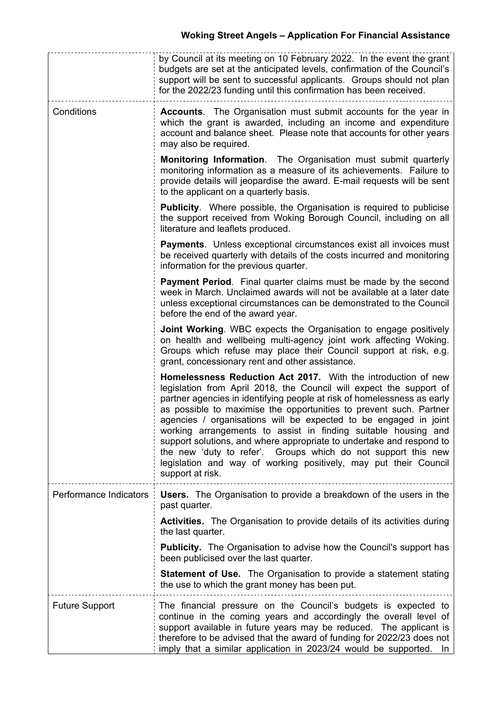|                        | by Council at its meeting on 10 February 2022. In the event the grant<br>budgets are set at the anticipated levels, confirmation of the Council's<br>support will be sent to successful applicants. Groups should not plan<br>for the 2022/23 funding until this confirmation has been received.                                                                                                                                                                                                                                                                                                                                                             |
|------------------------|--------------------------------------------------------------------------------------------------------------------------------------------------------------------------------------------------------------------------------------------------------------------------------------------------------------------------------------------------------------------------------------------------------------------------------------------------------------------------------------------------------------------------------------------------------------------------------------------------------------------------------------------------------------|
| Conditions             | Accounts. The Organisation must submit accounts for the year in<br>which the grant is awarded, including an income and expenditure<br>account and balance sheet. Please note that accounts for other years<br>may also be required.                                                                                                                                                                                                                                                                                                                                                                                                                          |
|                        | <b>Monitoring Information.</b> The Organisation must submit quarterly<br>monitoring information as a measure of its achievements. Failure to<br>provide details will jeopardise the award. E-mail requests will be sent<br>to the applicant on a quarterly basis.                                                                                                                                                                                                                                                                                                                                                                                            |
|                        | <b>Publicity.</b> Where possible, the Organisation is required to publicise<br>the support received from Woking Borough Council, including on all<br>literature and leaflets produced.                                                                                                                                                                                                                                                                                                                                                                                                                                                                       |
|                        | Payments. Unless exceptional circumstances exist all invoices must<br>be received quarterly with details of the costs incurred and monitoring<br>information for the previous quarter.                                                                                                                                                                                                                                                                                                                                                                                                                                                                       |
|                        | <b>Payment Period.</b> Final quarter claims must be made by the second<br>week in March. Unclaimed awards will not be available at a later date<br>unless exceptional circumstances can be demonstrated to the Council<br>before the end of the award year.                                                                                                                                                                                                                                                                                                                                                                                                  |
|                        | <b>Joint Working.</b> WBC expects the Organisation to engage positively<br>on health and wellbeing multi-agency joint work affecting Woking.<br>Groups which refuse may place their Council support at risk, e.g.<br>grant, concessionary rent and other assistance.                                                                                                                                                                                                                                                                                                                                                                                         |
|                        | Homelessness Reduction Act 2017. With the introduction of new<br>legislation from April 2018, the Council will expect the support of<br>partner agencies in identifying people at risk of homelessness as early<br>as possible to maximise the opportunities to prevent such. Partner<br>agencies / organisations will be expected to be engaged in joint<br>working arrangements to assist in finding suitable housing and<br>support solutions, and where appropriate to undertake and respond to<br>the new 'duty to refer'. Groups which do not support this new<br>legislation and way of working positively, may put their Council<br>support at risk. |
| Performance Indicators | <b>Users.</b> The Organisation to provide a breakdown of the users in the<br>past quarter.                                                                                                                                                                                                                                                                                                                                                                                                                                                                                                                                                                   |
|                        | <b>Activities.</b> The Organisation to provide details of its activities during<br>the last quarter.                                                                                                                                                                                                                                                                                                                                                                                                                                                                                                                                                         |
|                        | <b>Publicity.</b> The Organisation to advise how the Council's support has<br>been publicised over the last quarter.                                                                                                                                                                                                                                                                                                                                                                                                                                                                                                                                         |
|                        | <b>Statement of Use.</b> The Organisation to provide a statement stating<br>the use to which the grant money has been put.                                                                                                                                                                                                                                                                                                                                                                                                                                                                                                                                   |
| <b>Future Support</b>  | The financial pressure on the Council's budgets is expected to<br>continue in the coming years and accordingly the overall level of<br>support available in future years may be reduced. The applicant is<br>therefore to be advised that the award of funding for 2022/23 does not<br>imply that a similar application in 2023/24 would be supported. In                                                                                                                                                                                                                                                                                                    |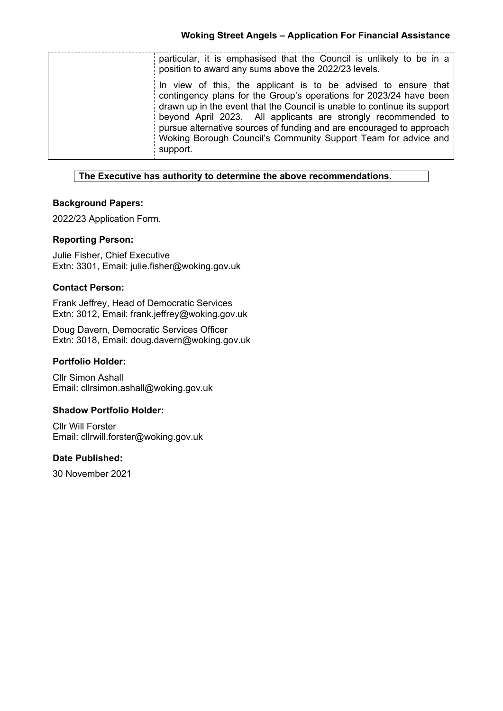| particular, it is emphasised that the Council is unlikely to be in a<br>position to award any sums above the 2022/23 levels.                                                                                                                                                                                                                                                                                                            |
|-----------------------------------------------------------------------------------------------------------------------------------------------------------------------------------------------------------------------------------------------------------------------------------------------------------------------------------------------------------------------------------------------------------------------------------------|
| In view of this, the applicant is to be advised to ensure that<br>contingency plans for the Group's operations for 2023/24 have been<br>drawn up in the event that the Council is unable to continue its support<br>beyond April 2023. All applicants are strongly recommended to<br>pursue alternative sources of funding and are encouraged to approach<br>Woking Borough Council's Community Support Team for advice and<br>support. |

#### **The Executive has authority to determine the above recommendations.**

## **Background Papers:**

2022/23 Application Form.

## **Reporting Person:**

Julie Fisher, Chief Executive Extn: 3301, Email: julie.fisher@woking.gov.uk

#### **Contact Person:**

Frank Jeffrey, Head of Democratic Services Extn: 3012, Email: frank.jeffrey@woking.gov.uk

Doug Davern, Democratic Services Officer Extn: 3018, Email: doug.davern@woking.gov.uk

#### **Portfolio Holder:**

Cllr Simon Ashall Email: cllrsimon.ashall@woking.gov.uk

## **Shadow Portfolio Holder:**

Cllr Will Forster Email: cllrwill.forster@woking.gov.uk

#### **Date Published:**

30 November 2021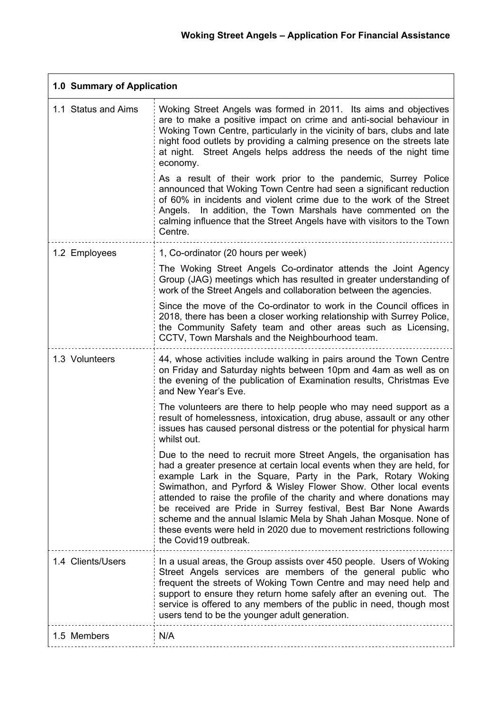$\overline{\phantom{0}}$ 

| 1.0 Summary of Application |                                                                                                                                                                                                                                                                                                                                                                                                                                                                                                                                                                                                  |  |
|----------------------------|--------------------------------------------------------------------------------------------------------------------------------------------------------------------------------------------------------------------------------------------------------------------------------------------------------------------------------------------------------------------------------------------------------------------------------------------------------------------------------------------------------------------------------------------------------------------------------------------------|--|
| 1.1 Status and Aims        | Woking Street Angels was formed in 2011. Its aims and objectives<br>are to make a positive impact on crime and anti-social behaviour in<br>Woking Town Centre, particularly in the vicinity of bars, clubs and late<br>night food outlets by providing a calming presence on the streets late<br>at night. Street Angels helps address the needs of the night time<br>economy.                                                                                                                                                                                                                   |  |
|                            | As a result of their work prior to the pandemic, Surrey Police<br>announced that Woking Town Centre had seen a significant reduction<br>of 60% in incidents and violent crime due to the work of the Street<br>In addition, the Town Marshals have commented on the<br>Angels.<br>calming influence that the Street Angels have with visitors to the Town<br>Centre.                                                                                                                                                                                                                             |  |
| 1.2 Employees              | 1, Co-ordinator (20 hours per week)                                                                                                                                                                                                                                                                                                                                                                                                                                                                                                                                                              |  |
|                            | The Woking Street Angels Co-ordinator attends the Joint Agency<br>Group (JAG) meetings which has resulted in greater understanding of<br>work of the Street Angels and collaboration between the agencies.                                                                                                                                                                                                                                                                                                                                                                                       |  |
|                            | Since the move of the Co-ordinator to work in the Council offices in<br>2018, there has been a closer working relationship with Surrey Police,<br>the Community Safety team and other areas such as Licensing,<br>CCTV, Town Marshals and the Neighbourhood team.                                                                                                                                                                                                                                                                                                                                |  |
| 1.3 Volunteers             | 44, whose activities include walking in pairs around the Town Centre<br>on Friday and Saturday nights between 10pm and 4am as well as on<br>the evening of the publication of Examination results, Christmas Eve<br>and New Year's Eve.                                                                                                                                                                                                                                                                                                                                                          |  |
|                            | The volunteers are there to help people who may need support as a<br>result of homelessness, intoxication, drug abuse, assault or any other<br>issues has caused personal distress or the potential for physical harm<br>whilst out.                                                                                                                                                                                                                                                                                                                                                             |  |
|                            | Due to the need to recruit more Street Angels, the organisation has<br>had a greater presence at certain local events when they are held, for<br>example Lark in the Square, Party in the Park, Rotary Woking<br>Swimathon, and Pyrford & Wisley Flower Show. Other local events<br>attended to raise the profile of the charity and where donations may<br>be received are Pride in Surrey festival, Best Bar None Awards<br>scheme and the annual Islamic Mela by Shah Jahan Mosque. None of<br>these events were held in 2020 due to movement restrictions following<br>the Covid19 outbreak. |  |
| 1.4 Clients/Users          | In a usual areas, the Group assists over 450 people. Users of Woking<br>Street Angels services are members of the general public who<br>frequent the streets of Woking Town Centre and may need help and<br>support to ensure they return home safely after an evening out. The<br>service is offered to any members of the public in need, though most<br>users tend to be the younger adult generation.                                                                                                                                                                                        |  |
| 1.5 Members                | N/A                                                                                                                                                                                                                                                                                                                                                                                                                                                                                                                                                                                              |  |

 $\mathbf{r}$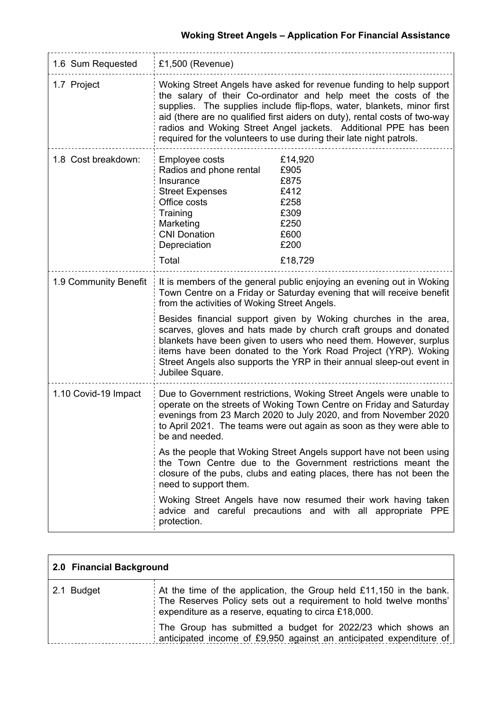# **Woking Street Angels – Application For Financial Assistance**

| 1.6 Sum Requested     | £1,500 (Revenue)                                                                                                                                                                                                                                                                                                                                                                                                                                                                                                                                                          |                                                                                    |  |
|-----------------------|---------------------------------------------------------------------------------------------------------------------------------------------------------------------------------------------------------------------------------------------------------------------------------------------------------------------------------------------------------------------------------------------------------------------------------------------------------------------------------------------------------------------------------------------------------------------------|------------------------------------------------------------------------------------|--|
| 1.7 Project           | Woking Street Angels have asked for revenue funding to help support<br>the salary of their Co-ordinator and help meet the costs of the<br>supplies. The supplies include flip-flops, water, blankets, minor first<br>aid (there are no qualified first aiders on duty), rental costs of two-way<br>radios and Woking Street Angel jackets. Additional PPE has been<br>required for the volunteers to use during their late night patrols.                                                                                                                                 |                                                                                    |  |
| 1.8 Cost breakdown:   | Employee costs<br>Radios and phone rental<br>Insurance<br><b>Street Expenses</b><br>Office costs<br>Training<br>Marketing<br><b>CNI Donation</b><br>Depreciation<br>Total                                                                                                                                                                                                                                                                                                                                                                                                 | £14,920<br>£905<br>£875<br>£412<br>£258<br>£309<br>£250<br>£600<br>£200<br>£18,729 |  |
| 1.9 Community Benefit | It is members of the general public enjoying an evening out in Woking<br>Town Centre on a Friday or Saturday evening that will receive benefit<br>from the activities of Woking Street Angels.<br>Besides financial support given by Woking churches in the area,<br>scarves, gloves and hats made by church craft groups and donated<br>blankets have been given to users who need them. However, surplus<br>items have been donated to the York Road Project (YRP). Woking<br>Street Angels also supports the YRP in their annual sleep-out event in<br>Jubilee Square. |                                                                                    |  |
| 1.10 Covid-19 Impact  | Due to Government restrictions, Woking Street Angels were unable to<br>operate on the streets of Woking Town Centre on Friday and Saturday<br>evenings from 23 March 2020 to July 2020, and from November 2020<br>to April 2021. The teams were out again as soon as they were able to<br>be and needed.<br>As the people that Woking Street Angels support have not been using<br>the Town Centre due to the Government restrictions meant the<br>closure of the pubs, clubs and eating places, there has not been the<br>need to support them.                          |                                                                                    |  |
|                       | Woking Street Angels have now resumed their work having taken<br>advice and careful precautions and with all appropriate PPE<br>protection.                                                                                                                                                                                                                                                                                                                                                                                                                               |                                                                                    |  |

| 2.0 Financial Background |                                                                                                                                                                                                  |  |
|--------------------------|--------------------------------------------------------------------------------------------------------------------------------------------------------------------------------------------------|--|
| 2.1 Budget               | At the time of the application, the Group held £11,150 in the bank.<br>The Reserves Policy sets out a requirement to hold twelve months'<br>expenditure as a reserve, equating to circa £18,000. |  |
|                          | The Group has submitted a budget for 2022/23 which shows an<br>anticipated income of £9,950 against an anticipated expenditure of                                                                |  |